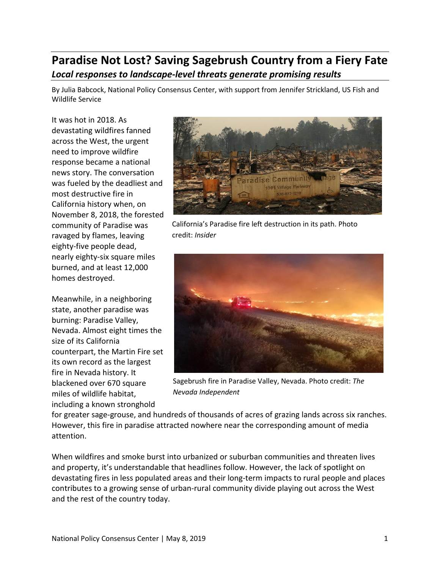# **Paradise Not Lost? Saving Sagebrush Country from a Fiery Fate** *Local responses to landscape-level threats generate promising results*

By Julia Babcock, National Policy Consensus Center, with support from Jennifer Strickland, US Fish and Wildlife Service

It was hot in 2018. As devastating wildfires fanned across the West, the urgent need to improve wildfire response became a national news story. The conversation was fueled by the deadliest and most destructive fire in California history when, on November 8, 2018, the forested community of Paradise was ravaged by flames, leaving eighty-five people dead, nearly eighty-six square miles burned, and at least 12,000 homes destroyed.

Meanwhile, in a neighboring state, another paradise was burning: Paradise Valley, Nevada. Almost eight times the size of its California counterpart, the Martin Fire set its own record as the largest fire in Nevada history. It blackened over 670 square miles of wildlife habitat, including a known stronghold



California's Paradise fire left destruction in its path. Photo credit: *Insider*



Sagebrush fire in Paradise Valley, Nevada. Photo credit: *The Nevada Independent*

for greater sage-grouse, and hundreds of thousands of acres of grazing lands across six ranches. However, this fire in paradise attracted nowhere near the corresponding amount of media attention.

When wildfires and smoke burst into urbanized or suburban communities and threaten lives and property, it's understandable that headlines follow. However, the lack of spotlight on devastating fires in less populated areas and their long-term impacts to rural people and places contributes to a growing sense of urban-rural community divide playing out across the West and the rest of the country today.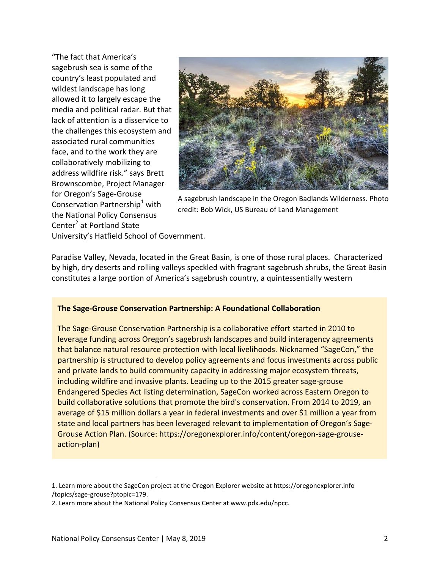"The fact that America's sagebrush sea is some of the country's least populated and wildest landscape has long allowed it to largely escape the media and political radar. But that lack of attention is a disservice to the challenges this ecosystem and associated rural communities face, and to the work they are collaboratively mobilizing to address wildfire risk." says Brett Brownscombe, Project Manager for Oregon's Sage-Grouse Conservation Partnership<sup>1</sup> with the National Policy Consensus Center<sup>2</sup> at Portland State



A sagebrush landscape in the Oregon Badlands Wilderness. Photo credit: Bob Wick, US Bureau of Land Management

University's Hatfield School of Government.

Paradise Valley, Nevada, located in the Great Basin, is one of those rural places. Characterized by high, dry deserts and rolling valleys speckled with fragrant sagebrush shrubs, the Great Basin constitutes a large portion of America's sagebrush country, a quintessentially western

## **The Sage-Grouse Conservation Partnership: A Foundational Collaboration**

The Sage-Grouse Conservation Partnership is a collaborative effort started in 2010 to leverage funding across Oregon's sagebrush landscapes and build interagency agreements that balance natural resource protection with local livelihoods. Nicknamed "SageCon," the partnership is structured to develop policy agreements and focus investments across public and private lands to build community capacity in addressing major ecosystem threats, including wildfire and invasive plants. Leading up to the 2015 greater sage-grouse Endangered Species Act listing determination, SageCon worked across Eastern Oregon to build collaborative solutions that promote the bird's conservation. From 2014 to 2019, an average of \$15 million dollars a year in federal investments and over \$1 million a year from state and local partners has been leveraged relevant to implementation of Oregon's Sage-Grouse Action Plan. (Source: https://oregonexplorer.info/content/oregon-sage-grouseaction-plan)

 $\overline{a}$ 

<sup>1.</sup> Learn more about the SageCon project at the Oregon Explorer website at https://oregonexplorer.info /topics/sage-grouse?ptopic=179.

<sup>2.</sup> Learn more about the National Policy Consensus Center at www.pdx.edu/npcc.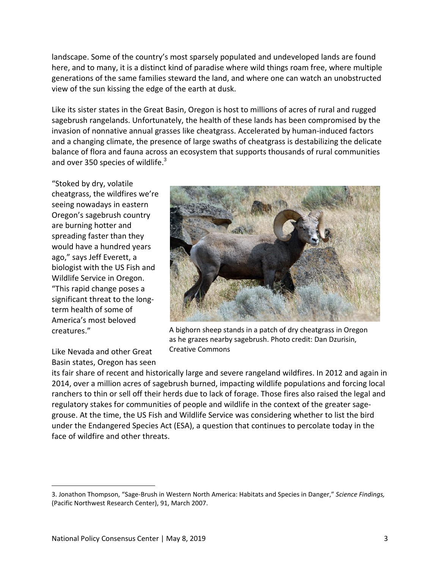landscape. Some of the country's most sparsely populated and undeveloped lands are found here, and to many, it is a distinct kind of paradise where wild things roam free, where multiple generations of the same families steward the land, and where one can watch an unobstructed view of the sun kissing the edge of the earth at dusk.

Like its sister states in the Great Basin, Oregon is host to millions of acres of rural and rugged sagebrush rangelands. Unfortunately, the health of these lands has been compromised by the invasion of nonnative annual grasses like cheatgrass. Accelerated by human-induced factors and a changing climate, the presence of large swaths of cheatgrass is destabilizing the delicate balance of flora and fauna across an ecosystem that supports thousands of rural communities and over 350 species of wildlife.<sup>3</sup>

"Stoked by dry, volatile cheatgrass, the wildfires we're seeing nowadays in eastern Oregon's sagebrush country are burning hotter and spreading faster than they would have a hundred years ago," says Jeff Everett, a biologist with the US Fish and Wildlife Service in Oregon. "This rapid change poses a significant threat to the longterm health of some of America's most beloved creatures."

Like Nevada and other Great Basin states, Oregon has seen

 $\overline{a}$ 



A bighorn sheep stands in a patch of dry cheatgrass in Oregon as he grazes nearby sagebrush. Photo credit: Dan Dzurisin, Creative Commons

its fair share of recent and historically large and severe rangeland wildfires. In 2012 and again in 2014, over a million acres of sagebrush burned, impacting wildlife populations and forcing local ranchers to thin or sell off their herds due to lack of forage. Those fires also raised the legal and regulatory stakes for communities of people and wildlife in the context of the greater sagegrouse. At the time, the US Fish and Wildlife Service was considering whether to list the bird under the Endangered Species Act (ESA), a question that continues to percolate today in the face of wildfire and other threats.

<sup>3.</sup> Jonathon Thompson, "Sage-Brush in Western North America: Habitats and Species in Danger," *Science Findings,* (Pacific Northwest Research Center), 91, March 2007.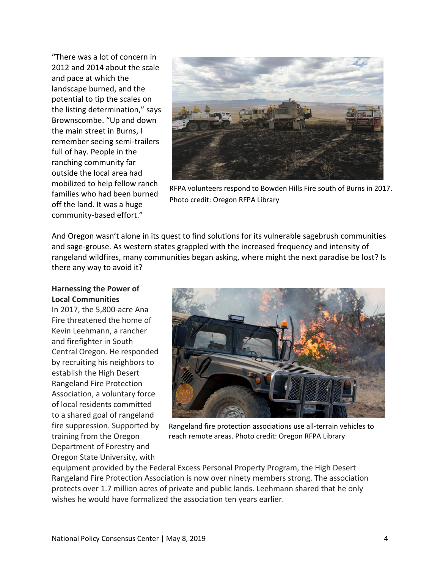"There was a lot of concern in 2012 and 2014 about the scale and pace at which the landscape burned, and the potential to tip the scales on the listing determination," says Brownscombe. "Up and down the main street in Burns, I remember seeing semi-trailers full of hay. People in the ranching community far outside the local area had mobilized to help fellow ranch families who had been burned off the land. It was a huge community-based effort."



RFPA volunteers respond to Bowden Hills Fire south of Burns in 2017. Photo credit: Oregon RFPA Library

And Oregon wasn't alone in its quest to find solutions for its vulnerable sagebrush communities and sage-grouse. As western states grappled with the increased frequency and intensity of rangeland wildfires, many communities began asking, where might the next paradise be lost? Is there any way to avoid it?

## **Harnessing the Power of Local Communities**

In 2017, the 5,800-acre Ana Fire threatened the home of Kevin Leehmann, a rancher and firefighter in South Central Oregon. He responded by recruiting his neighbors to establish the High Desert Rangeland Fire Protection Association, a voluntary force of local residents committed to a shared goal of rangeland fire suppression. Supported by training from the Oregon Department of Forestry and Oregon State University, with



Rangeland fire protection associations use all-terrain vehicles to reach remote areas. Photo credit: Oregon RFPA Library

equipment provided by the Federal Excess Personal Property Program, the High Desert Rangeland Fire Protection Association is now over ninety members strong. The association protects over 1.7 million acres of private and public lands. Leehmann shared that he only wishes he would have formalized the association ten years earlier.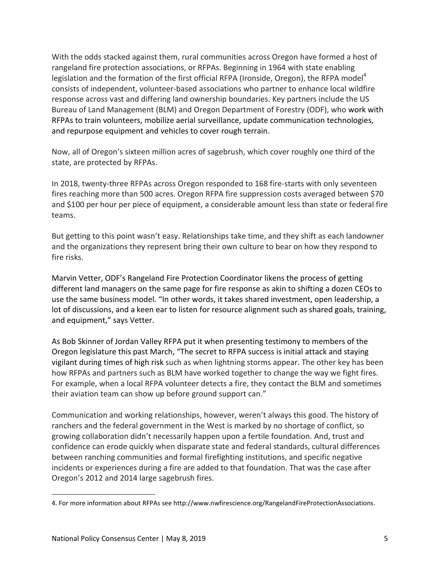With the odds stacked against them, rural communities across Oregon have formed a host of rangeland fire protection associations, or RFPAs. Beginning in 1964 with state enabling legislation and the formation of the first official RFPA (Ironside, Oregon), the RFPA model<sup>4</sup> consists of independent, volunteer-based associations who partner to enhance local wildfire response across vast and differing land ownership boundaries. Key partners include the US Bureau of Land Management (BLM) and Oregon Department of Forestry (ODF), who work with RFPAs to train volunteers, mobilize aerial surveillance, update communication technologies, and repurpose equipment and vehicles to cover rough terrain.

Now, all of Oregon's sixteen million acres of sagebrush, which cover roughly one third of the state, are protected by RFPAs.

In 2018, twenty-three RFPAs across Oregon responded to 168 fire-starts with only seventeen fires reaching more than 500 acres. Oregon RFPA fire suppression costs averaged between \$70 and \$100 per hour per piece of equipment, a considerable amount less than state or federal fire teams.

But getting to this point wasn't easy. Relationships take time, and they shift as each landowner and the organizations they represent bring their own culture to bear on how they respond to fire risks.

Marvin Vetter, ODF's Rangeland Fire Protection Coordinator likens the process of getting different land managers on the same page for fire response as akin to shifting a dozen CEOs to use the same business model. "In other words, it takes shared investment, open leadership, a lot of discussions, and a keen ear to listen for resource alignment such as shared goals, training, and equipment," says Vetter.

As Bob Skinner of Jordan Valley RFPA put it when presenting testimony to members of the Oregon legislature this past March, "The secret to RFPA success is initial attack and staying vigilant during times of high risk such as when lightning storms appear. The other key has been how RFPAs and partners such as BLM have worked together to change the way we fight fires. For example, when a local RFPA volunteer detects a fire, they contact the BLM and sometimes their aviation team can show up before ground support can."

Communication and working relationships, however, weren't always this good. The history of ranchers and the federal government in the West is marked by no shortage of conflict, so growing collaboration didn't necessarily happen upon a fertile foundation. And, trust and confidence can erode quickly when disparate state and federal standards, cultural differences between ranching communities and formal firefighting institutions, and specific negative incidents or experiences during a fire are added to that foundation. That was the case after Oregon's 2012 and 2014 large sagebrush fires.

 $\overline{a}$ 

<sup>4.</sup> For more information about RFPAs see http://www.nwfirescience.org/RangelandFireProtectionAssociations.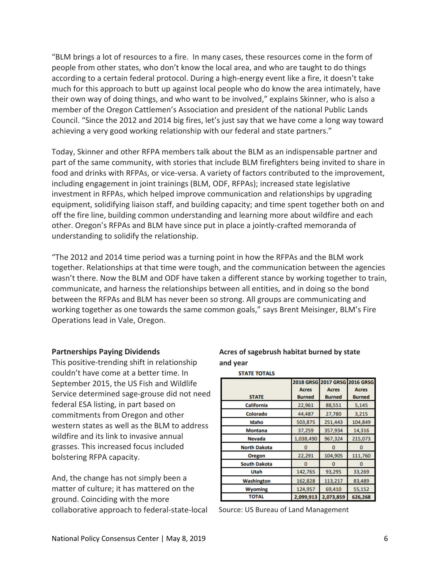"BLM brings a lot of resources to a fire. In many cases, these resources come in the form of people from other states, who don't know the local area, and who are taught to do things according to a certain federal protocol. During a high-energy event like a fire, it doesn't take much for this approach to butt up against local people who do know the area intimately, have their own way of doing things, and who want to be involved," explains Skinner, who is also a member of the Oregon Cattlemen's Association and president of the national Public Lands Council. "Since the 2012 and 2014 big fires, let's just say that we have come a long way toward achieving a very good working relationship with our federal and state partners."

Today, Skinner and other RFPA members talk about the BLM as an indispensable partner and part of the same community, with stories that include BLM firefighters being invited to share in food and drinks with RFPAs, or vice-versa. A variety of factors contributed to the improvement, including engagement in joint trainings (BLM, ODF, RFPAs); increased state legislative investment in RFPAs, which helped improve communication and relationships by upgrading equipment, solidifying liaison staff, and building capacity; and time spent together both on and off the fire line, building common understanding and learning more about wildfire and each other. Oregon's RFPAs and BLM have since put in place a jointly-crafted memoranda of understanding to solidify the relationship.

"The 2012 and 2014 time period was a turning point in how the RFPAs and the BLM work together. Relationships at that time were tough, and the communication between the agencies wasn't there. Now the BLM and ODF have taken a different stance by working together to train, communicate, and harness the relationships between all entities, and in doing so the bond between the RFPAs and BLM has never been so strong. All groups are communicating and working together as one towards the same common goals," says Brent Meisinger, BLM's Fire Operations lead in Vale, Oregon.

#### **Partnerships Paying Dividends**

This positive-trending shift in relationship couldn't have come at a better time. In September 2015, the US Fish and Wildlife Service determined sage-grouse did not need federal ESA listing, in part based on commitments from Oregon and other western states as well as the BLM to address wildfire and its link to invasive annual grasses. This increased focus included bolstering RFPA capacity.

And, the change has not simply been a matter of culture; it has mattered on the ground. Coinciding with the more collaborative approach to federal-state-local

### **Acres of sagebrush habitat burned by state and year STATE TOTALS**

| <b>STATE</b>        | <b>Acres</b><br><b>Burned</b> | 2018 GRSG 2017 GRSG 2016 GRSG<br><b>Acres</b><br><b>Burned</b> | <b>Acres</b><br><b>Burned</b> |
|---------------------|-------------------------------|----------------------------------------------------------------|-------------------------------|
| California          | 22,961                        | 88,551                                                         | 5,145                         |
| Colorado            | 44,487                        | 27,780                                                         | 3,215                         |
| Idaho               | 503,875                       | 251,443                                                        | 104,849                       |
| <b>Montana</b>      | 37,259                        | 357,934                                                        | 14,316                        |
| <b>Nevada</b>       | 1,038,490                     | 967,324                                                        | 215,073                       |
| <b>North Dakota</b> | $\bf{0}$                      | 0                                                              | 0                             |
| <b>Oregon</b>       | 22,291                        | 104,905                                                        | 111,760                       |
| <b>South Dakota</b> | $\Omega$                      | o                                                              | o                             |
| Utah                | 142,765                       | 93,295                                                         | 33,269                        |
| Washington          | 162,828                       | 113,217                                                        | 83,489                        |
| <b>Wyoming</b>      | 124,957                       | 69,410                                                         | 55,152                        |
| <b>TOTAL</b>        | 2,099,913                     | 2,073,859                                                      | 626,268                       |

Source: US Bureau of Land Management